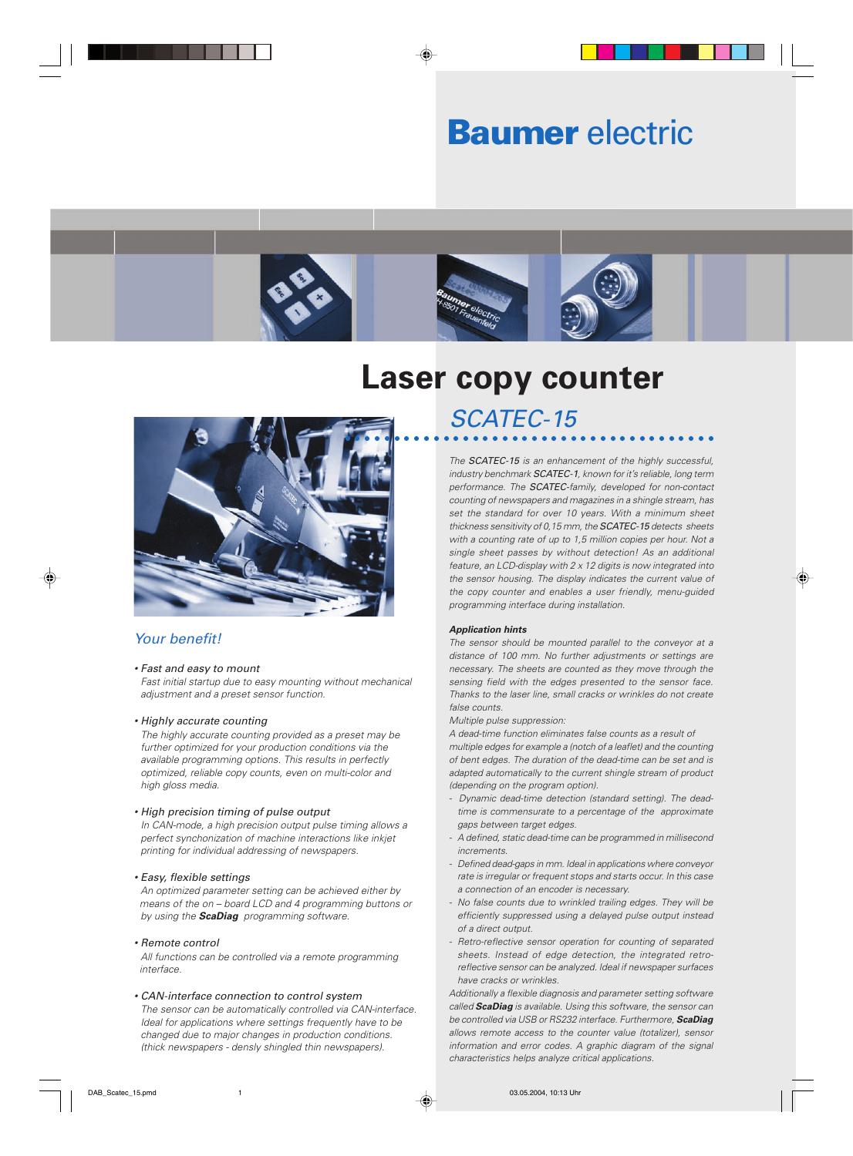# **Baumer** electric



# **Laser copy counter**



### Your benefit!

#### • Fast and easy to mount

Fast initial startup due to easy mounting without mechanical adjustment and a preset sensor function.

#### • Highly accurate counting

The highly accurate counting provided as a preset may be further optimized for your production conditions via the available programming options. This results in perfectly optimized, reliable copy counts, even on multi-color and high gloss media.

#### • High precision timing of pulse output

In CAN-mode, a high precision output pulse timing allows a perfect synchonization of machine interactions like inkjet printing for individual addressing of newspapers.

#### • Easy, flexible settings

An optimized parameter setting can be achieved either by means of the on – board LCD and 4 programming buttons or by using the **ScaDiag** programming software.

#### • Remote control

All functions can be controlled via a remote programming interface.

#### • CAN-interface connection to control system

The sensor can be automatically controlled via CAN-interface. Ideal for applications where settings frequently have to be changed due to major changes in production conditions. (thick newspapers - densly shingled thin newspapers).

## SCATEC-15

The **SCATEC-15** is an enhancement of the highly successful, industry benchmark **SCATEC-1**, known for it's reliable, long term performance. The SCATEC-family, developed for non-contact counting of newspapers and magazines in a shingle stream, has set the standard for over 10 years. With a minimum sheet thickness sensitivity of 0,15 mm, the **SCATEC-15** detects sheets with a counting rate of up to 1,5 million copies per hour. Not a single sheet passes by without detection! As an additional feature, an LCD-display with 2 x 12 digits is now integrated into the sensor housing. The display indicates the current value of the copy counter and enables a user friendly, menu-guided programming interface during installation.

#### **Application hints**

The sensor should be mounted parallel to the conveyor at a distance of 100 mm. No further adjustments or settings are necessary. The sheets are counted as they move through the sensing field with the edges presented to the sensor face. Thanks to the laser line, small cracks or wrinkles do not create false counts.

Multiple pulse suppression:

A dead-time function eliminates false counts as a result of multiple edges for example a (notch of a leaflet) and the counting of bent edges. The duration of the dead-time can be set and is adapted automatically to the current shingle stream of product (depending on the program option).

- Dynamic dead-time detection (standard setting). The deadtime is commensurate to a percentage of the approximate gaps between target edges.
- A defined, static dead-time can be programmed in millisecond increments.
- Defined dead-gaps in mm. Ideal in applications where conveyor rate is irregular or frequent stops and starts occur. In this case a connection of an encoder is necessary.
- No false counts due to wrinkled trailing edges. They will be efficiently suppressed using a delayed pulse output instead of a direct output.
- Retro-reflective sensor operation for counting of separated sheets. Instead of edge detection, the integrated retroreflective sensor can be analyzed. Ideal if newspaper surfaces have cracks or wrinkles.

Additionally a flexible diagnosis and parameter setting software called **ScaDiag** is available. Using this software, the sensor can be controlled via USB or RS232 interface. Furthermore, **ScaDiag** allows remote access to the counter value (totalizer), sensor information and error codes. A graphic diagram of the signal characteristics helps analyze critical applications.